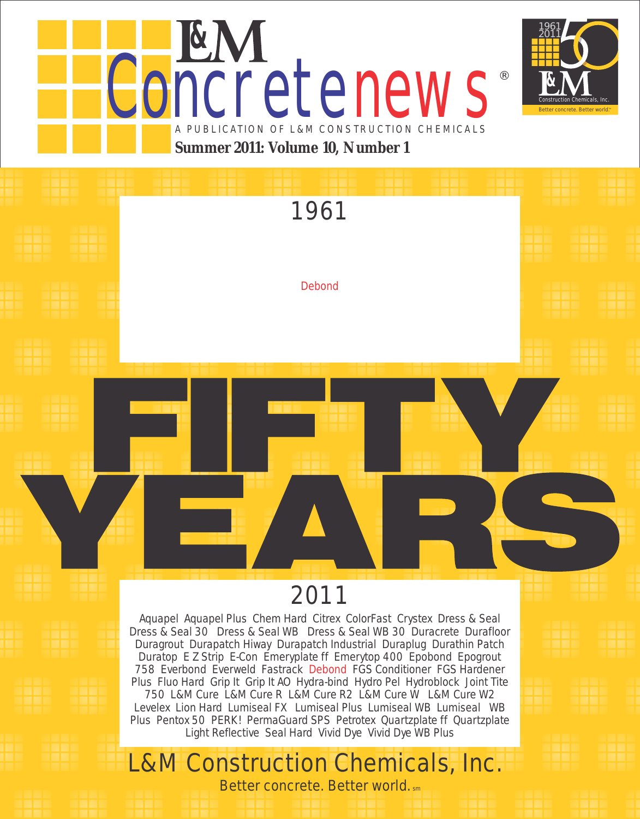



®

# 1961

**Debond** 

# 2011

Aquapel Aquapel Plus Chem Hard Citrex ColorFast Crystex Dress & Seal Dress & Seal 30 Dress & Seal WB Dress & Seal WB 30 Duracrete Durafloor Duragrout Durapatch Hiway Durapatch Industrial Duraplug Durathin Patch Duratop E Z Strip E-Con Emeryplate ff Emerytop 400 Epobond Epogrout 758 Everbond Everweld Fastrack Debond FGS Conditioner FGS Hardener Plus Fluo Hard Grip It Grip It AO Hydra-bind Hydro Pel Hydroblock Joint Tite 750 L&M Cure L&M Cure R L&M Cure R2 L&M Cure W L&M Cure W2 Levelex Lion Hard Lumiseal FX Lumiseal Plus Lumiseal WB Lumiseal WB Plus Pentox 50 PERK! PermaGuard SPS Petrotex Quartzplate ff Quartzplate Light Reflective Seal Hard Vivid Dye Vivid Dye WB Plus

# L&M Construction Chemicals, Inc.

Better concrete. Better world. sm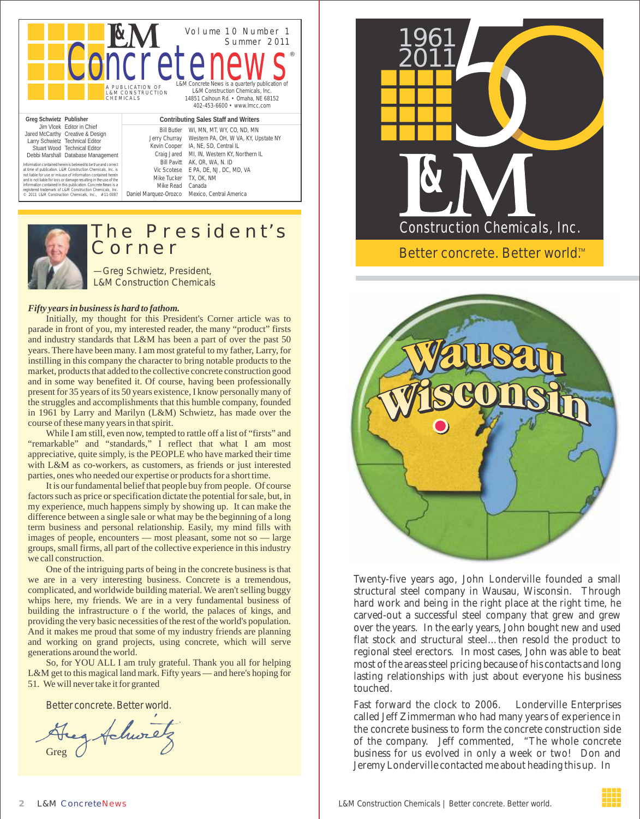|                                                                                                                                                                                                                                                                                                                                                                                                                                                                                                                                                                                                                              |                                                                                                                                                              | Volume 10 Number 1<br>Summer 2011                                                                                                                                                                                                   |  |
|------------------------------------------------------------------------------------------------------------------------------------------------------------------------------------------------------------------------------------------------------------------------------------------------------------------------------------------------------------------------------------------------------------------------------------------------------------------------------------------------------------------------------------------------------------------------------------------------------------------------------|--------------------------------------------------------------------------------------------------------------------------------------------------------------|-------------------------------------------------------------------------------------------------------------------------------------------------------------------------------------------------------------------------------------|--|
|                                                                                                                                                                                                                                                                                                                                                                                                                                                                                                                                                                                                                              | <b>CIFEIT</b><br>A PUBLICATION OF<br><b>L&amp;M CONSTRUCTION</b><br>CHEMICALS                                                                                | H.<br>L&M Concrete News is a quarterly publication of<br>L&M Construction Chemicals, Inc.<br>14851 Calhoun Rd. • Omaha, NE 68152<br>402-453-6600 • www.lmcc.com                                                                     |  |
| Greg Schwietz Publisher                                                                                                                                                                                                                                                                                                                                                                                                                                                                                                                                                                                                      | Contributing Sales Staff and Writers                                                                                                                         |                                                                                                                                                                                                                                     |  |
| Jim Vlcek Editor in Chief<br>Jared McCarthy Creative & Design<br>Larry Schwietz Technical Editor<br>Stuart Wood Technical Editor<br>Debbi Marshall Database Management<br>Information contained berein is believed to be true and correct<br>at time of publication. L&M Construction Chemicals, Inc. is<br>not liable for use or misuse of information contained berein<br>and is not liable for loss or damage resulting in the use of the<br>information contained in this publication. Concrete News is a<br>registered trademark of L&M Construction Chemicals, Inc.<br>2011 L&M Construction Chemicals, Inc., #11-0087 | <b>Bill Butler</b><br>Jerry Churray<br>Kevin Cooper<br>Craig Jared<br><b>Bill Pavitt</b><br>Vic Scotese<br>Mike Tucker<br>Mike Read<br>Daniel Marquez-Orozco | WI, MN, MT, WY, CO, ND, MN<br>Western PA, OH, W VA, KY, Upstate NY<br>IA, NE, SD, Central IL<br>MI, IN, Western KY, Northern IL<br>AK, OR, WA, N. ID<br>E PA, DE, NJ, DC, MD, VA<br>TX. OK. NM<br>Canada<br>Mexico, Central America |  |



### The President's Corner

—Greg Schwietz, President, L&M Construction Chemicals

#### *Fifty years in business is hard to fathom.*

Initially, my thought for this President's Corner article was to parade in front of you, my interested reader, the many "product" firsts and industry standards that L&M has been a part of over the past 50 years. There have been many. I am most grateful to my father, Larry, for instilling in this company the character to bring notable products to the market, products that added to the collective concrete construction good and in some way benefited it. Of course, having been professionally present for 35 years of its 50 years existence, I know personally many of the struggles and accomplishments that this humble company, founded in 1961 by Larry and Marilyn (L&M) Schwietz, has made over the course of these many years in that spirit.

While I am still, even now, tempted to rattle off a list of "firsts" and "remarkable" and "standards," I reflect that what I am most appreciative, quite simply, is the PEOPLE who have marked their time with L&M as co-workers, as customers, as friends or just interested parties, ones who needed our expertise or products for a short time.

It is our fundamental belief that people buy from people. Of course factors such as price or specification dictate the potential for sale, but, in my experience, much happens simply by showing up. It can make the difference between a single sale or what may be the beginning of a long term business and personal relationship. Easily, my mind fills with images of people, encounters — most pleasant, some not so — large groups, small firms, all part of the collective experience in this industry we call construction.

One of the intriguing parts of being in the concrete business is that we are in a very interesting business. Concrete is a tremendous, complicated, and worldwide building material. We aren't selling buggy whips here, my friends. We are in a very fundamental business of building the infrastructure o f the world, the palaces of kings, and providing the very basic necessities of the rest of the world's population. And it makes me proud that some of my industry friends are planning and working on grand projects, using concrete, which will serve generations around the world.

So, for YOU ALL I am truly grateful. Thank you all for helping L&M get to this magical land mark. Fifty years — and here's hoping for 51. We will never take it for granted

Better concrete. Better world.

g Achure Greg





Twenty-five years ago, John Londerville founded a small structural steel company in Wausau, Wisconsin. Through hard work and being in the right place at the right time, he carved-out a successful steel company that grew and grew over the years. In the early years, John bought new and used flat stock and structural steel…then resold the product to regional steel erectors. In most cases, John was able to beat most of the areas steel pricing because of his contacts and long lasting relationships with just about everyone his business touched.

Fast forward the clock to 2006. Londerville Enterprises called Jeff Zimmerman who had many years of experience in the concrete business to form the concrete construction side of the company. Jeff commented, "The whole concrete business for us evolved in only a week or two! Don and Jeremy Londerville contacted me about heading this up. In

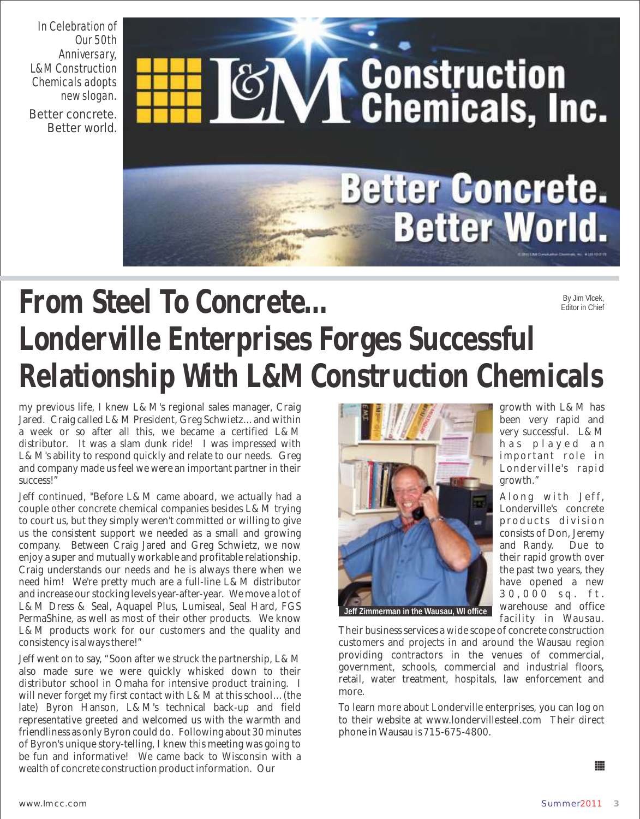In Celebration of Our 50th Anniversary, L&M Construction Chemicals adopts new slogan. Better concrete. Better world.

**VI Construction**<br>**VI Chemicals, Inc.** 

# **From Steel To Concrete… Londerville Enterprises Forges Successful Relationship With L&M Construction Chemicals** By Jim Vlcek, Editor in Chief

my previous life, I knew L&M's regional sales manager, Craig Jared. Craig called L&M President, Greg Schwietz…and within a week or so after all this, we became a certified L&M distributor. It was a slam dunk ride! I was impressed with L&M's ability to respond quickly and relate to our needs. Greg and company made us feel we were an important partner in their success!"

Jeff continued, "Before L&M came aboard, we actually had a couple other concrete chemical companies besides L&M trying to court us, but they simply weren't committed or willing to give us the consistent support we needed as a small and growing company. Between Craig Jared and Greg Schwietz, we now enjoy a super and mutually workable and profitable relationship. Craig understands our needs and he is always there when we need him! We're pretty much are a full-line L&M distributor and increase our stocking levels year-after-year. We move a lot of L&M Dress & Seal, Aquapel Plus, Lumiseal, Seal Hard, FGS PermaShine, as well as most of their other products. We know L&M products work for our customers and the quality and consistency is always there!"

Jeff went on to say, "Soon after we struck the partnership, L&M also made sure we were quickly whisked down to their distributor school in Omaha for intensive product training. I will never forget my first contact with L&M at this school…(the late) Byron Hanson, L&M's technical back-up and field representative greeted and welcomed us with the warmth and friendliness as only Byron could do. Following about 30 minutes of Byron's unique story-telling, I knew this meeting was going to be fun and informative! We came back to Wisconsin with a wealth of concrete construction product information. Our



growth with L&M has been very rapid and very successful. L&M has played an important role in Londerville's rapid growth."

Along with Jeff, Londerville's concrete products division consists of Don, Jeremy and Randy. Due to their rapid growth over the past two years, they have opened a new 3 0 , 0 0 0 s q . f t . warehouse and office facility in Wausau.

Their business services a wide scope of concrete construction customers and projects in and around the Wausau region providing contractors in the venues of commercial, government, schools, commercial and industrial floors, retail, water treatment, hospitals, law enforcement and more.

**Better Concrete.** 

**Better World.** 

To learn more about Londerville enterprises, you can log on to their website at www.londervillesteel.com Their direct phone in Wausau is 715-675-4800.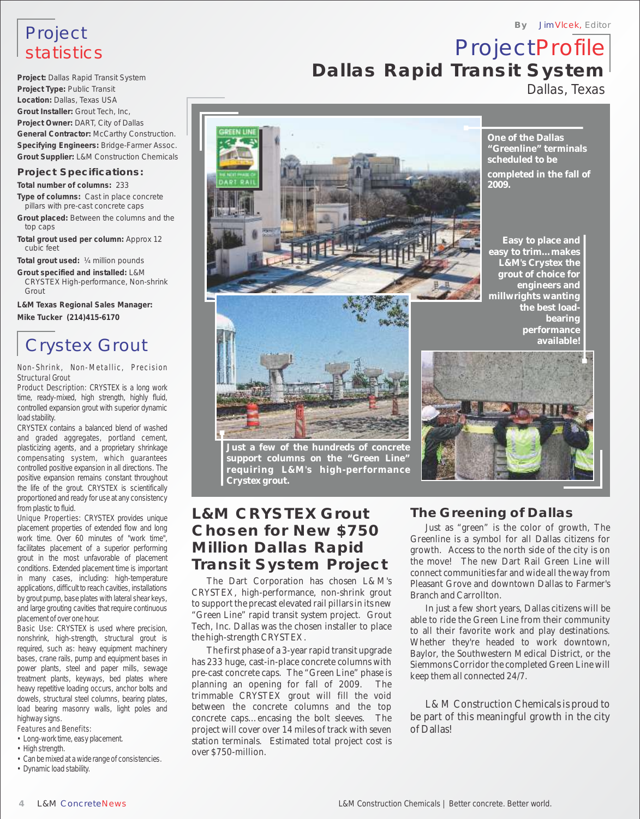## Project statistics

**Project:** Dallas Rapid Transit System **Project Type:** Public Transit **Location:** Dallas, Texas USA **Grout Installer:** Grout Tech, Inc, **Project Owner:** DART, City of Dallas **General Contractor:** McCarthy Construction. **Specifying Engineers:** Bridge-Farmer Assoc. **Grout Supplier:** L&M Construction Chemicals

#### **Project Specifications:**

**Total number of columns:** 233

- **Type of columns:** Cast in place concrete pillars with pre-cast concrete caps
- **Grout placed:** Between the columns and the top caps
- **Total grout used per column:** Approx 12 cubic feet

**Total grout used:** ¼ million pounds

**Grout specified and installed:** L&M CRYSTEX High-performance, Non-shrink Grout

**L&M Texas Regional Sales Manager: Mike Tucker (214)415-6170**

## Crystex Grout

Non-Shrink, Non-Metallic, Precision Structural Grout

Product Description: CRYSTEX is a long work time, ready-mixed, high strength, highly fluid, controlled expansion grout with superior dynamic load stability.

CRYSTEX contains a balanced blend of washed and graded aggregates, portland cement, plasticizing agents, and a proprietary shrinkage compensating system, which guarantees controlled positive expansion in all directions. The positive expansion remains constant throughout the life of the grout. CRYSTEX is scientifically proportioned and ready for use at any consistency from plastic to fluid.

Unique Properties: CRYSTEX provides unique placement properties of extended flow and long work time. Over 60 minutes of "work time", facilitates placement of a superior performing grout in the most unfavorable of placement conditions. Extended placement time is important in many cases, including: high-temperature applications, difficult to reach cavities, installations by grout pump, base plates with lateral shear keys, and large grouting cavities that require continuous placement of over one hour.

Basic Use: CRYSTEX is used where precision, nonshrink, high-strength, structural grout is required, such as: heavy equipment machinery bases, crane rails, pump and equipment bases in power plants, steel and paper mills, sewage treatment plants, keyways, bed plates where heavy repetitive loading occurs, anchor bolts and dowels, structural steel columns, bearing plates, load bearing masonry walls, light poles and highway signs.

Features and Benefits:

- Long-work time, easy placement. • High strength.
- Can be mixed at a wide range of consistencies.
- Dynamic load stability.







**performance available!**

**One of the Dallas "Greenline" terminals scheduled to be**

**2009.**

**completed in the fall of** 

**By** JimVlcek, Editor



#### **Just a few of the hundreds of concrete support columns on the "Green Line" requiring L&M's high-performance Crystex grout.**

#### **L&M CRYSTEX Grout Chosen for New \$750 Million Dallas Rapid Transit System Project**

CRYSTEX, high-performance, non-shrink grout Branch and Carrollton.

The first phase of a 3-year rapid transit upgrade Baylor, the Southwestern Medical District, or the<br>has 233 huge, cast-in-place concrete columns with Siemmons Corridor the completed Green Line will pre-cast concrete caps. The "Green Line" phase is keep them all connected  $24/7$ .<br>planning an opening for fall of 2009. The planning an opening for fall of 2009. trimmable CRYSTEX grout will fill the void project will cover over 14 miles of track with seven of Dallas! station terminals. Estimated total project cost is over \$750-million.

#### **The Greening of Dallas**

Just as "green" is the color of growth, The Greenline is a symbol for all Dallas citizens for growth. Access to the north side of the city is on the move! The new Dart Rail Green Line will connect communities far and wide all the way from The Dart Corporation has chosen L&M's Pleasant Grove and downtown Dallas to Farmer's

Fracture in the Precast elevated ran phlats in its new<br>
"Green Line" rapid transit system project. Grout<br>
Tech, Inc. Dallas was the chosen installer to place<br>
the high-strength CRYSTEX.<br>
The first phase of a 3-year rapid t Siemmons Corridor the completed Green Line will

between the concrete columns and the top  $L\&M$  Construction Chemicals is proud to concrete caps…encasing the bolt sleeves. The be part of this meaningful growth in the city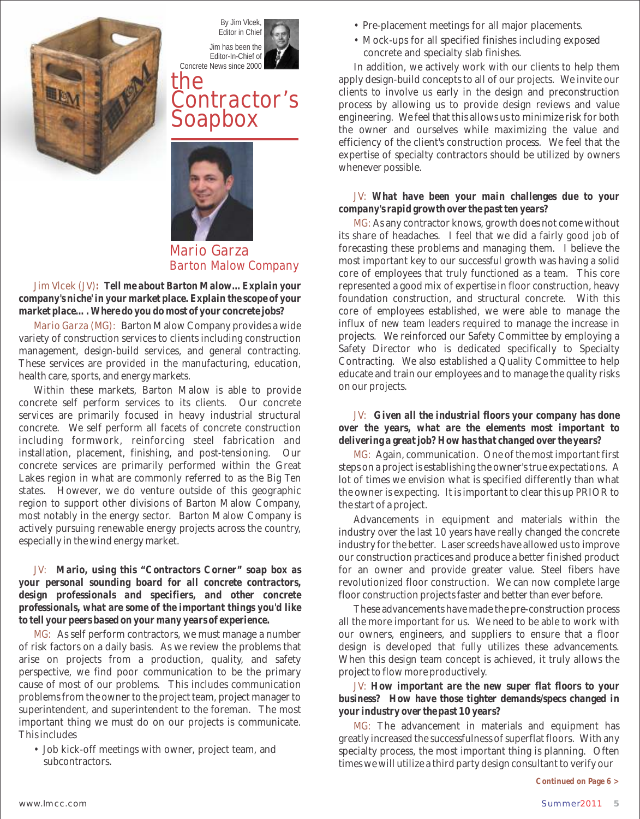



## **the Contractor's Soapbox**



#### **Mario Garza Barton Malow Company**

**Jim Vlcek (JV)***: Tell me about Barton Malow…Explain your company's niche' in your market place. Explain the scope of your market place…. Where do you do most of your concrete jobs?*

**Mario Garza (MG)**: Barton Malow Company provides a wide variety of construction services to clients including construction management, design-build services, and general contracting. These services are provided in the manufacturing, education, health care, sports, and energy markets.

Within these markets, Barton Malow is able to provide concrete self perform services to its clients. Our concrete services are primarily focused in heavy industrial structural concrete. We self perform all facets of concrete construction including formwork, reinforcing steel fabrication and installation, placement, finishing, and post-tensioning. Our concrete services are primarily performed within the Great Lakes region in what are commonly referred to as the Big Ten states. However, we do venture outside of this geographic region to support other divisions of Barton Malow Company, most notably in the energy sector. Barton Malow Company is actively pursuing renewable energy projects across the country, especially in the wind energy market.

**JV:** *Mario, using this "Contractors Corner" soap box as your personal sounding board for all concrete contractors, design professionals and specifiers, and other concrete professionals, what are some of the important things you'd like to tell your peers based on your many years of experience.*

**MG:**  As self perform contractors, we must manage a number of risk factors on a daily basis. As we review the problems that arise on projects from a production, quality, and safety perspective, we find poor communication to be the primary cause of most of our problems. This includes communication problems from the owner to the project team, project manager to superintendent, and superintendent to the foreman. The most important thing we must do on our projects is communicate. This includes

• Job kick-off meetings with owner, project team, and subcontractors.

- Pre-placement meetings for all major placements.
- Mock-ups for all specified finishes including exposed concrete and specialty slab finishes.

In addition, we actively work with our clients to help them apply design-build concepts to all of our projects. We invite our clients to involve us early in the design and preconstruction process by allowing us to provide design reviews and value engineering. We feel that this allows us to minimize risk for both the owner and ourselves while maximizing the value and efficiency of the client's construction process. We feel that the expertise of specialty contractors should be utilized by owners whenever possible.

#### *What have been your main challenges due to your*  **JV:** *company's rapid growth over the past ten years?*

MG: As any contractor knows, growth does not come without its share of headaches. I feel that we did a fairly good job of forecasting these problems and managing them. I believe the most important key to our successful growth was having a solid core of employees that truly functioned as a team. This core represented a good mix of expertise in floor construction, heavy foundation construction, and structural concrete. With this core of employees established, we were able to manage the influx of new team leaders required to manage the increase in projects. We reinforced our Safety Committee by employing a Safety Director who is dedicated specifically to Specialty Contracting. We also established a Quality Committee to help educate and train our employees and to manage the quality risks on our projects.

*Given all the industrial floors your company has done*  **JV:**  *over the years, what are the elements most important to delivering a great job? How has that changed over the years?*

MG: Again, communication. One of the most important first steps on a project is establishing the owner's true expectations. A lot of times we envision what is specified differently than what the owner is expecting. It is important to clear this up PRIOR to the start of a project.

Advancements in equipment and materials within the industry over the last 10 years have really changed the concrete industry for the better. Laser screeds have allowed us to improve our construction practices and produce a better finished product for an owner and provide greater value. Steel fibers have revolutionized floor construction. We can now complete large floor construction projects faster and better than ever before.

These advancements have made the pre-construction process all the more important for us. We need to be able to work with our owners, engineers, and suppliers to ensure that a floor design is developed that fully utilizes these advancements. When this design team concept is achieved, it truly allows the project to flow more productively.

*How important are the new super flat floors to your*  **JV:**  *business? How have those tighter demands/specs changed in your industry over the past 10 years?*

MG: The advancement in materials and equipment has greatly increased the successfulness of superflat floors. With any specialty process, the most important thing is planning. Often times we will utilize a third party design consultant to verify our

*Continued on Page 6 >*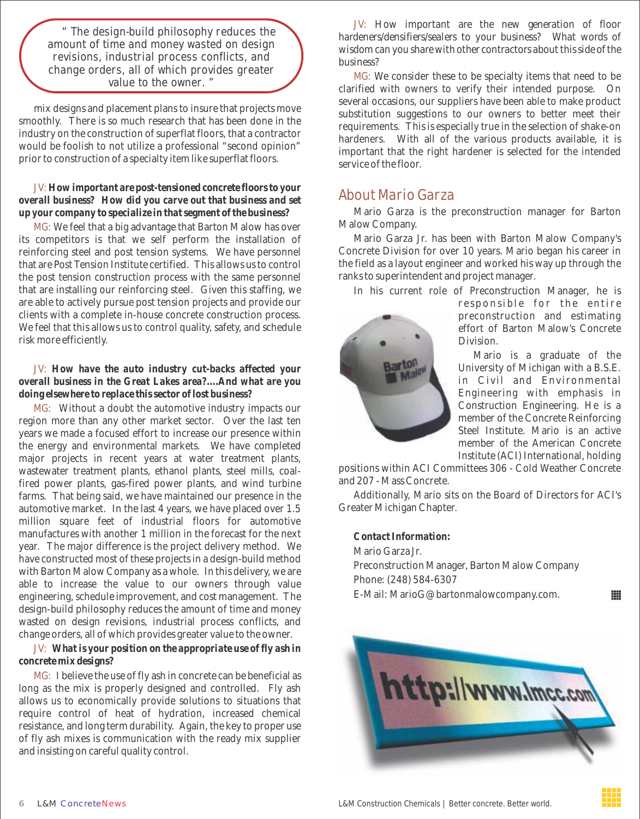**" The design-build philosophy reduces the amount of time and money wasted on design revisions, industrial process conflicts, and change orders, all of which provides greater value to the owner. "**

mix designs and placement plans to insure that projects move smoothly. There is so much research that has been done in the industry on the construction of superflat floors, that a contractor would be foolish to not utilize a professional "second opinion" prior to construction of a specialty item like superflat floors.

#### *How important are post-tensioned concrete floors to your*  **JV:** *overall business? How did you carve out that business and set up your company to specialize in that segment of the business?*

We feel that a big advantage that Barton Malow has over **MG:**  its competitors is that we self perform the installation of reinforcing steel and post tension systems. We have personnel that are Post Tension Institute certified. This allows us to control the post tension construction process with the same personnel that are installing our reinforcing steel. Given this staffing, we are able to actively pursue post tension projects and provide our clients with a complete in-house concrete construction process. We feel that this allows us to control quality, safety, and schedule risk more efficiently.

*How have the auto industry cut-backs affected your*  **JV:**  *overall business in the Great Lakes area?....And what are you doing elsewhere to replace this sector of lost business?*

MG: Without a doubt the automotive industry impacts our region more than any other market sector. Over the last ten years we made a focused effort to increase our presence within the energy and environmental markets. We have completed major projects in recent years at water treatment plants, wastewater treatment plants, ethanol plants, steel mills, coalfired power plants, gas-fired power plants, and wind turbine farms. That being said, we have maintained our presence in the automotive market. In the last 4 years, we have placed over 1.5 million square feet of industrial floors for automotive manufactures with another 1 million in the forecast for the next year. The major difference is the project delivery method. We have constructed most of these projects in a design-build method with Barton Malow Company as a whole. In this delivery, we are able to increase the value to our owners through value engineering, schedule improvement, and cost management. The design-build philosophy reduces the amount of time and money wasted on design revisions, industrial process conflicts, and change orders, all of which provides greater value to the owner.

#### *What is your position on the appropriate use of fly ash in*  **JV:**  *concrete mix designs?*

MG: I believe the use of fly ash in concrete can be beneficial as long as the mix is properly designed and controlled. Fly ash allows us to economically provide solutions to situations that require control of heat of hydration, increased chemical resistance, and long term durability. Again, the key to proper use of fly ash mixes is communication with the ready mix supplier and insisting on careful quality control.

**JV:**  *How important are the new generation of floor hardeners/densifiers/sealers to your business? What words of wisdom can you share with other contractors about this side of the business?*

**MG:**  We consider these to be specialty items that need to be clarified with owners to verify their intended purpose. On several occasions, our suppliers have been able to make product substitution suggestions to our owners to better meet their requirements. This is especially true in the selection of shake-on hardeners. With all of the various products available, it is important that the right hardener is selected for the intended service of the floor.

#### **About Mario Garza**

Mario Garza is the preconstruction manager for Barton Malow Company.

Mario Garza Jr. has been with Barton Malow Company's Concrete Division for over 10 years. Mario began his career in the field as a layout engineer and worked his way up through the ranks to superintendent and project manager.

In his current role of Preconstruction Manager, he is



responsible for the entire preconstruction and estimating effort of Barton Malow's Concrete Division.

Mario is a graduate of the University of Michigan with a B.S.E. in Civil and Environmental Engineering with emphasis in Construction Engineering. He is a member of the Concrete Reinforcing Steel Institute. Mario is an active member of the American Concrete Institute (ACI) International, holding

positions within ACI Committees 306 - Cold Weather Concrete and 207 - Mass Concrete.

Additionally, Mario sits on the Board of Directors for ACI's Greater Michigan Chapter.

*Contact Information:* Mario Garza Jr. Preconstruction Manager, Barton Malow Company Phone: (248) 584-6307 E-Mail: MarioG@bartonmalowcompany.com.



Ш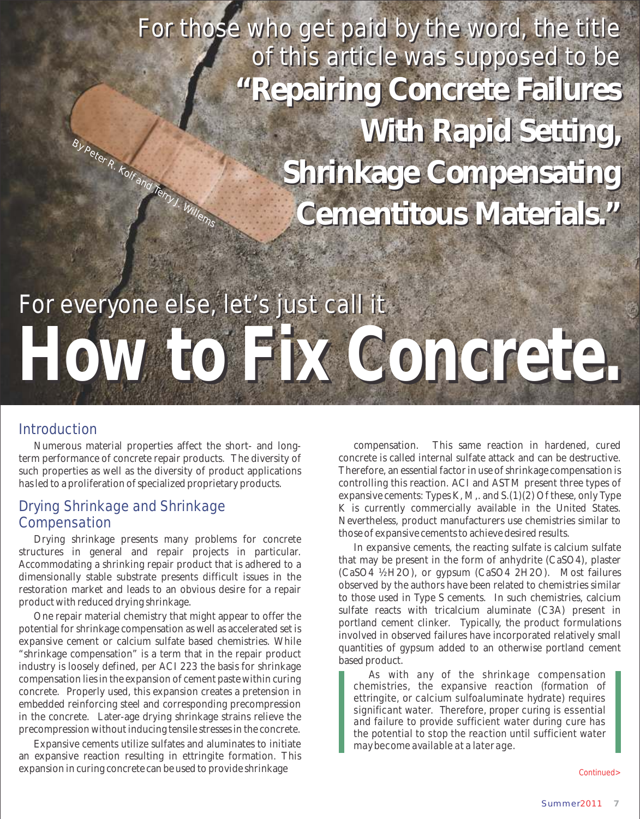By Peter R. Kolf and Terry J. Wille For those who get paid by the word, the title For those who get paid by the word, the title of this article was supposed to be of this article was supposed to be **"Repairing Concrete Failures "Repairing Concrete Failures With Rapid Setting, With Rapid Setting, Shrinkage Compensating Shrinkage Compensating Cementitous Materials. " Cementitous Materials. "**

# For everyone else, let's just call it **How to Fix Concrete.**

#### Introduction

Numerous material properties affect the short- and longterm performance of concrete repair products. The diversity of such properties as well as the diversity of product applications has led to a proliferation of specialized proprietary products.

#### Drying Shrinkage and Shrinkage Compensation

Drying shrinkage presents many problems for concrete structures in general and repair projects in particular. Accommodating a shrinking repair product that is adhered to a dimensionally stable substrate presents difficult issues in the restoration market and leads to an obvious desire for a repair product with reduced drying shrinkage.

One repair material chemistry that might appear to offer the potential for shrinkage compensation as well as accelerated set is expansive cement or calcium sulfate based chemistries. While "shrinkage compensation" is a term that in the repair product industry is loosely defined, per ACI 223 the basis for shrinkage compensation lies in the expansion of cement paste within curing concrete. Properly used, this expansion creates a pretension in embedded reinforcing steel and corresponding precompression in the concrete. Later-age drying shrinkage strains relieve the precompression without inducing tensile stresses in the concrete.

Expansive cements utilize sulfates and aluminates to initiate an expansive reaction resulting in ettringite formation. This expansion in curing concrete can be used to provide shrinkage

compensation. This same reaction in hardened, cured concrete is called internal sulfate attack and can be destructive. Therefore, an essential factor in use of shrinkage compensation is controlling this reaction. ACI and ASTM present three types of expansive cements: Types K, M,. and S.(1)(2) Of these, only Type K is currently commercially available in the United States. Nevertheless, product manufacturers use chemistries similar to those of expansive cements to achieve desired results.

In expansive cements, the reacting sulfate is calcium sulfate that may be present in the form of anhydrite (CaSO4), plaster (CaSO4 ½H2O), or gypsum (CaSO4 2H2O). Most failures observed by the authors have been related to chemistries similar to those used in Type S cements. In such chemistries, calcium sulfate reacts with tricalcium aluminate (C3A) present in portland cement clinker. Typically, the product formulations involved in observed failures have incorporated relatively small quantities of gypsum added to an otherwise portland cement based product.

As with any of the shrinkage compensation chemistries, the expansive reaction (formation of ettringite, or calcium sulfoaluminate hydrate) requires significant water. Therefore, proper curing is essential and failure to provide sufficient water during cure has the potential to stop the reaction until sufficient water may become available at a later age.

Continued>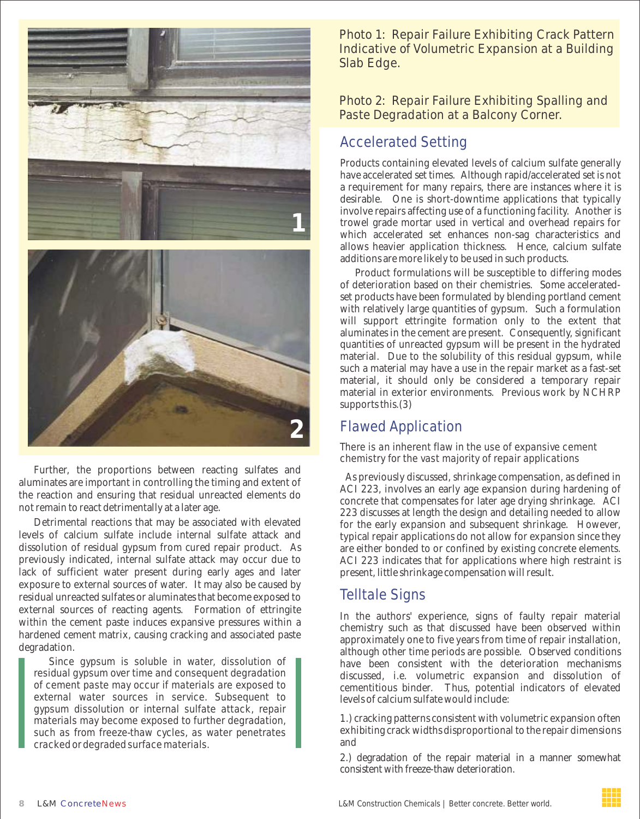

Further, the proportions between reacting sulfates and aluminates are important in controlling the timing and extent of the reaction and ensuring that residual unreacted elements do not remain to react detrimentally at a later age.

Detrimental reactions that may be associated with elevated levels of calcium sulfate include internal sulfate attack and dissolution of residual gypsum from cured repair product. As previously indicated, internal sulfate attack may occur due to lack of sufficient water present during early ages and later exposure to external sources of water. It may also be caused by residual unreacted sulfates or aluminates that become exposed to external sources of reacting agents. Formation of ettringite within the cement paste induces expansive pressures within a hardened cement matrix, causing cracking and associated paste degradation.

Since gypsum is soluble in water, dissolution of residual gypsum over time and consequent degradation of cement paste may occur if materials are exposed to external water sources in service. Subsequent to gypsum dissolution or internal sulfate attack, repair materials may become exposed to further degradation, such as from freeze-thaw cycles, as water penetrates cracked or degraded surface materials.

Photo 1: Repair Failure Exhibiting Crack Pattern Indicative of Volumetric Expansion at a Building Slab Edge.

Photo 2: Repair Failure Exhibiting Spalling and Paste Degradation at a Balcony Corner.

#### Accelerated Setting

Products containing elevated levels of calcium sulfate generally have accelerated set times. Although rapid/accelerated set is not a requirement for many repairs, there are instances where it is desirable. One is short-downtime applications that typically involve repairs affecting use of a functioning facility. Another is trowel grade mortar used in vertical and overhead repairs for which accelerated set enhances non-sag characteristics and allows heavier application thickness. Hence, calcium sulfate additions are more likely to be used in such products.

Product formulations will be susceptible to differing modes of deterioration based on their chemistries. Some acceleratedset products have been formulated by blending portland cement with relatively large quantities of gypsum. Such a formulation will support ettringite formation only to the extent that aluminates in the cement are present. Consequently, significant quantities of unreacted gypsum will be present in the hydrated material. Due to the solubility of this residual gypsum, while such a material may have a use in the repair market as a fast-set material, it should only be considered a temporary repair material in exterior environments. Previous work by NCHRP supports this.(3)

#### Flawed Application

There is an inherent flaw in the use of expansive cement chemistry for the vast majority of repair applications

As previously discussed, shrinkage compensation, as defined in ACI 223, involves an early age expansion during hardening of concrete that compensates for later age drying shrinkage. ACI 223 discusses at length the design and detailing needed to allow for the early expansion and subsequent shrinkage. However, typical repair applications do not allow for expansion since they are either bonded to or confined by existing concrete elements. ACI 223 indicates that for applications where high restraint is present, little shrinkage compensation will result.

#### Telltale Signs

In the authors' experience, signs of faulty repair material chemistry such as that discussed have been observed within approximately one to five years from time of repair installation, although other time periods are possible. Observed conditions have been consistent with the deterioration mechanisms discussed, i.e. volumetric expansion and dissolution of cementitious binder. Thus, potential indicators of elevated levels of calcium sulfate would include:

1.) cracking patterns consistent with volumetric expansion often exhibiting crack widths disproportional to the repair dimensions and

2.) degradation of the repair material in a manner somewhat consistent with freeze-thaw deterioration.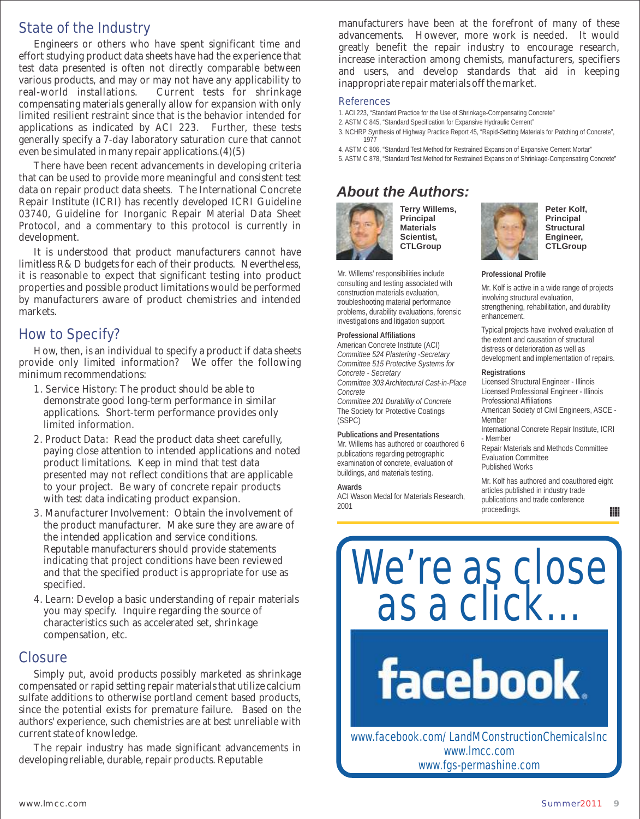#### State of the Industry

Engineers or others who have spent significant time and effort studying product data sheets have had the experience that test data presented is often not directly comparable between various products, and may or may not have any applicability to real-world installations. Current tests for shrinkage compensating materials generally allow for expansion with only limited resilient restraint since that is the behavior intended for applications as indicated by ACI 223. Further, these tests generally specify a 7-day laboratory saturation cure that cannot even be simulated in many repair applications.(4)(5)

There have been recent advancements in developing criteria that can be used to provide more meaningful and consistent test data on repair product data sheets. The International Concrete Repair Institute (ICRI) has recently developed ICRI Guideline 03740, Guideline for Inorganic Repair Material Data Sheet Protocol, and a commentary to this protocol is currently in development.

It is understood that product manufacturers cannot have limitless R&D budgets for each of their products. Nevertheless, it is reasonable to expect that significant testing into product properties and possible product limitations would be performed by manufacturers aware of product chemistries and intended markets.

#### How to Specify?

How, then, is an individual to specify a product if data sheets provide only limited information? We offer the following minimum recommendations:

- 1. Service History: The product should be able to demonstrate good long-term performance in similar applications. Short-term performance provides only limited information.
- 2. Product Data: Read the product data sheet carefully, paying close attention to intended applications and noted product limitations. Keep in mind that test data presented may not reflect conditions that are applicable to your project. Be wary of concrete repair products with test data indicating product expansion.
- 3. Manufacturer Involvement: Obtain the involvement of the product manufacturer. Make sure they are aware of the intended application and service conditions. Reputable manufacturers should provide statements indicating that project conditions have been reviewed and that the specified product is appropriate for use as specified.
- 4. Learn: Develop a basic understanding of repair materials you may specify. Inquire regarding the source of characteristics such as accelerated set, shrinkage compensation, etc.

#### Closure

Simply put, avoid products possibly marketed as shrinkage compensated or rapid setting repair materials that utilize calcium sulfate additions to otherwise portland cement based products, since the potential exists for premature failure. Based on the authors' experience, such chemistries are at best unreliable with current state of knowledge.

The repair industry has made significant advancements in developing reliable, durable, repair products. Reputable

manufacturers have been at the forefront of many of these advancements. However, more work is needed. It would greatly benefit the repair industry to encourage research, increase interaction among chemists, manufacturers, specifiers and users, and develop standards that aid in keeping inappropriate repair materials off the market.

#### References

- 1. ACI 223, "Standard Practice for the Use of Shrinkage-Compensating Concrete"
- 2. ASTM C 845, "Standard Specification for Expansive Hydraulic Cement"
- 3. NCHRP Synthesis of Highway Practice Report 45, "Rapid-Setting Materials for Patching of Concrete", 1977
- 4. ASTM C 806, "Standard Test Method for Restrained Expansion of Expansive Cement Mortar"
- 5. ASTM C 878, "Standard Test Method for Restrained Expansion of Shrinkage-Compensating Concrete"

## *About the Authors:*

Mr. Willems' responsibilities include consulting and testing associated with construction materials evaluation, troubleshooting material performance problems, durability evaluations, forensic investigations and litigation support. **Professional Affiliations**  American Concrete Institute (ACI) *Committee 524 Plastering -Secretary Committee 515 Protective Systems for* 

*Committee 303 Architectural Cast-in-Place* 

ACI Wason Medal for Materials Research,

*Committee 201 Durability of Concrete*  The Society for Protective Coatings

**Publications and Presentations** Mr. Willems has authored or coauthored 6 publications regarding petrographic examination of concrete, evaluation of buildings, and materials testing.



*Concrete - Secretary* 

*Concrete* 

(SSPC)

**Awards**

2001

**Terry Willems, Principal Materials Scientist, CTLGroup**



**Peter Kolf, Principal Structural Engineer, CTLGroup**

**Professional Profile**

Mr. Kolf is active in a wide range of projects involving structural evaluation, strengthening, rehabilitation, and durability enhancement.

Typical projects have involved evaluation of the extent and causation of structural distress or deterioration as well as development and implementation of repairs.

**Registrations**

Licensed Structural Engineer - Illinois Licensed Professional Engineer - Illinois

Professional Affiliations

American Society of Civil Engineers, ASCE - Member

International Concrete Repair Institute, ICRI - Member

Repair Materials and Methods Committee Evaluation Committee Published Works

Mr. Kolf has authored and coauthored eight articles published in industry trade publications and trade conference proceedings. ₩

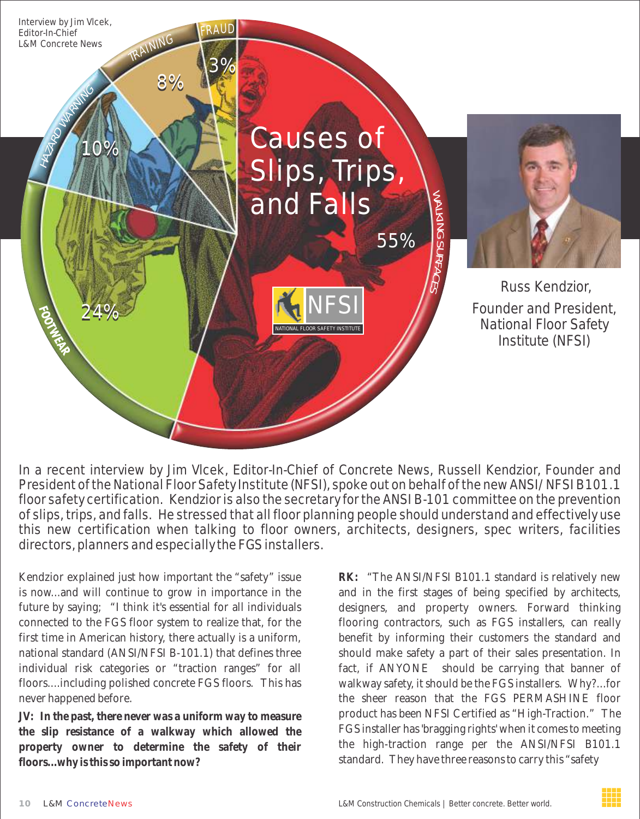

In a recent interview by Jim Vlcek, Editor-In-Chief of Concrete News, Russell Kendzior, Founder and President of the National Floor Safety Institute (NFSI), spoke out on behalf of the new ANSI/NFSI B101.1 floor safety certification. Kendzior is also the secretary for the ANSI B-101 committee on the prevention of slips, trips, and falls. He stressed that all floor planning people should understand and effectively use this new certification when talking to floor owners, architects, designers, spec writers, facilities directors, planners and especially the FGS installers.

Kendzior explained just how important the "safety" issue is now...and will continue to grow in importance in the future by saying; "I think it's essential for all individuals connected to the FGS floor system to realize that, for the first time in American history, there actually is a uniform, national standard (ANSI/NFSI B-101.1) that defines three individual risk categories or "traction ranges" for all floors....including polished concrete FGS floors. This has never happened before.

*JV:* **In the past, there never was a uniform way to measure the slip resistance of a walkway which allowed the property owner to determine the safety of their floors...why is this so important now?** 

**RK:** "The ANSI/NFSI B101.1 standard is relatively new and in the first stages of being specified by architects, designers, and property owners. Forward thinking flooring contractors, such as FGS installers, can really benefit by informing their customers the standard and should make safety a part of their sales presentation. In fact, if ANYONE should be carrying that banner of walkway safety, it should be the FGS installers. Why?...for the sheer reason that the FGS PERMASHINE floor product has been NFSI Certified as "High-Traction." The FGS installer has 'bragging rights' when it comes to meeting the high-traction range per the ANSI/NFSI B101.1 standard. They have three reasons to carry this "safety

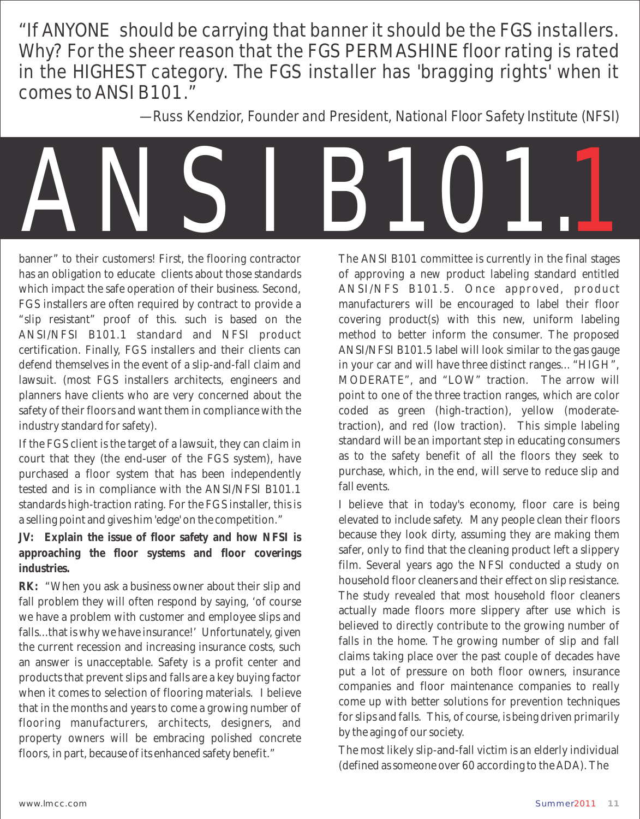"If ANYONE should be carrying that banner it should be the FGS installers. Why? For the sheer reason that the FGS PERMASHINE floor rating is rated in the HIGHEST category. The FGS installer has 'bragging rights' when it comes to ANSI B101."

— Russ Kendzior, Founder and President, National Floor Safety Institute (NFSI)



banner" to their customers! First, the flooring contractor has an obligation to educate clients about those standards which impact the safe operation of their business. Second, FGS installers are often required by contract to provide a "slip resistant" proof of this. such is based on the ANSI/NFSI B101.1 standard and NFSI product certification. Finally, FGS installers and their clients can defend themselves in the event of a slip-and-fall claim and lawsuit. (most FGS installers architects, engineers and planners have clients who are very concerned about the safety of their floors and want them in compliance with the industry standard for safety).

If the FGS client is the target of a lawsuit, they can claim in court that they (the end-user of the FGS system), have purchased a floor system that has been independently tested and is in compliance with the ANSI/NFSI B101.1 standards high-traction rating. For the FGS installer, this is a selling point and gives him 'edge' on the competition."

*JV:* **Explain the issue of floor safety and how NFSI is approaching the floor systems and floor coverings industries.**

**RK:** "When you ask a business owner about their slip and fall problem they will often respond by saying, 'of course we have a problem with customer and employee slips and falls...that is why we have insurance!' Unfortunately, given the current recession and increasing insurance costs, such an answer is unacceptable. Safety is a profit center and products that prevent slips and falls are a key buying factor when it comes to selection of flooring materials. I believe that in the months and years to come a growing number of flooring manufacturers, architects, designers, and property owners will be embracing polished concrete floors, in part, because of its enhanced safety benefit."

The ANSI B101 committee is currently in the final stages of approving a new product labeling standard entitled ANSI/NFS B101.5. Once approved, product manufacturers will be encouraged to label their floor covering product(s) with this new, uniform labeling method to better inform the consumer. The proposed ANSI/NFSI B101.5 label will look similar to the gas gauge in your car and will have three distinct ranges... "HIGH", MODERATE", and "LOW" traction. The arrow will point to one of the three traction ranges, which are color coded as green (high-traction), yellow (moderatetraction), and red (low traction). This simple labeling standard will be an important step in educating consumers as to the safety benefit of all the floors they seek to purchase, which, in the end, will serve to reduce slip and fall events.

I believe that in today's economy, floor care is being elevated to include safety. Many people clean their floors because they look dirty, assuming they are making them safer, only to find that the cleaning product left a slippery film. Several years ago the NFSI conducted a study on household floor cleaners and their effect on slip resistance. The study revealed that most household floor cleaners actually made floors more slippery after use which is believed to directly contribute to the growing number of falls in the home. The growing number of slip and fall claims taking place over the past couple of decades have put a lot of pressure on both floor owners, insurance companies and floor maintenance companies to really come up with better solutions for prevention techniques for slips and falls. This, of course, is being driven primarily by the aging of our society.

The most likely slip-and-fall victim is an elderly individual (defined as someone over 60 according to the ADA). The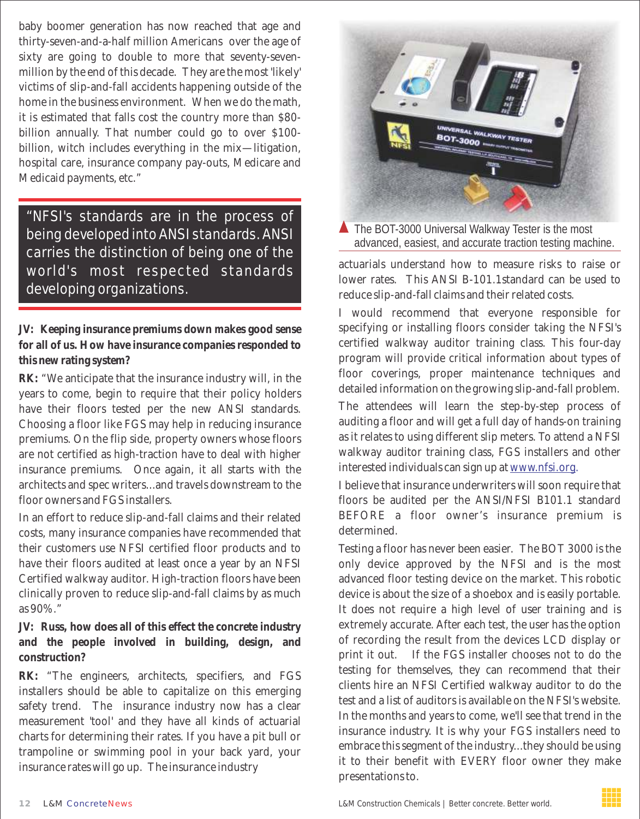baby boomer generation has now reached that age and thirty-seven-and-a-half million Americans over the age of sixty are going to double to more that seventy-sevenmillion by the end of this decade. They are the most 'likely' victims of slip-and-fall accidents happening outside of the home in the business environment. When we do the math, it is estimated that falls cost the country more than \$80 billion annually. That number could go to over \$100 billion, witch includes everything in the mix—litigation, hospital care, insurance company pay-outs, Medicare and Medicaid payments, etc."

"NFSI's standards are in the process of being developed into ANSI standards. ANSI carries the distinction of being one of the world's most respected standards developing organizations.

*JV:* **Keeping insurance premiums down makes good sense for all of us. How have insurance companies responded to this new rating system?**

**RK:** "We anticipate that the insurance industry will, in the years to come, begin to require that their policy holders have their floors tested per the new ANSI standards. Choosing a floor like FGS may help in reducing insurance premiums. On the flip side, property owners whose floors are not certified as high-traction have to deal with higher insurance premiums. Once again, it all starts with the architects and spec writers...and travels downstream to the floor owners and FGS installers.

In an effort to reduce slip-and-fall claims and their related costs, many insurance companies have recommended that their customers use NFSI certified floor products and to have their floors audited at least once a year by an NFSI Certified walkway auditor. High-traction floors have been clinically proven to reduce slip-and-fall claims by as much as 90%."

*JV:* **Russ, how does all of this effect the concrete industry and the people involved in building, design, and construction?**

**RK:** "The engineers, architects, specifiers, and FGS installers should be able to capitalize on this emerging safety trend. The insurance industry now has a clear measurement 'tool' and they have all kinds of actuarial charts for determining their rates. If you have a pit bull or trampoline or swimming pool in your back yard, your insurance rates will go up. The insurance industry



▲ The BOT-3000 Universal Walkway Tester is the most advanced, easiest, and accurate traction testing machine.

actuarials understand how to measure risks to raise or lower rates. This ANSI B-101.1standard can be used to reduce slip-and-fall claims and their related costs.

I would recommend that everyone responsible for specifying or installing floors consider taking the NFSI's certified walkway auditor training class. This four-day program will provide critical information about types of floor coverings, proper maintenance techniques and detailed information on the growing slip-and-fall problem.

The attendees will learn the step-by-step process of auditing a floor and will get a full day of hands-on training as it relates to using different slip meters. To attend a NFSI walkway auditor training class, FGS installers and other interested individuals can sign up at <u>www.nfsi.org</u>.

I believe that insurance underwriters will soon require that floors be audited per the ANSI/NFSI B101.1 standard BEFORE a floor owner's insurance premium is determined.

Testing a floor has never been easier. The BOT 3000 is the only device approved by the NFSI and is the most advanced floor testing device on the market. This robotic device is about the size of a shoebox and is easily portable. It does not require a high level of user training and is extremely accurate. After each test, the user has the option of recording the result from the devices LCD display or print it out. If the FGS installer chooses not to do the testing for themselves, they can recommend that their clients hire an NFSI Certified walkway auditor to do the test and a list of auditors is available on the NFSI's website. In the months and years to come, we'll see that trend in the insurance industry. It is why your FGS installers need to embrace this segment of the industry...they should be using it to their benefit with EVERY floor owner they make presentations to.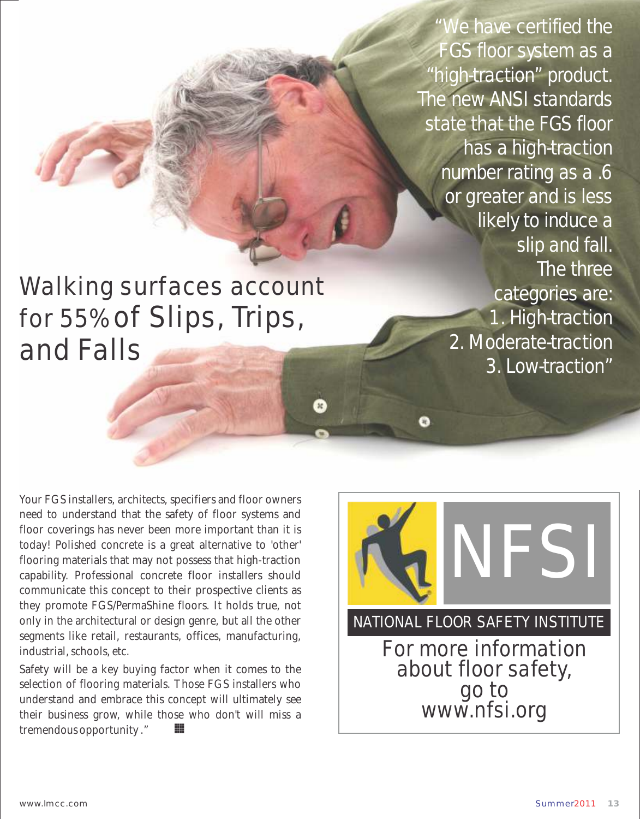"We have certified the FGS floor system as a "high-traction" product. The new ANSI standards state that the FGS floor has a high-traction number rating as a .6 or greater and is less likely to induce a slip and fall. The three categories are: 1. High-traction 2. Moderate-traction 3. Low-traction"

Walking surfaces account for 55% of Slips, Trips, and Falls

Your FGS installers, architects, specifiers and floor owners need to understand that the safety of floor systems and floor coverings has never been more important than it is today! Polished concrete is a great alternative to 'other' flooring materials that may not possess that high-traction capability. Professional concrete floor installers should communicate this concept to their prospective clients as they promote FGS/PermaShine floors. It holds true, not only in the architectural or design genre, but all the other segments like retail, restaurants, offices, manufacturing, industrial, schools, etc.

Safety will be a key buying factor when it comes to the selection of flooring materials. Those FGS installers who understand and embrace this concept will ultimately see their business grow, while those who don't will miss a ₩ tremendous opportunity ."

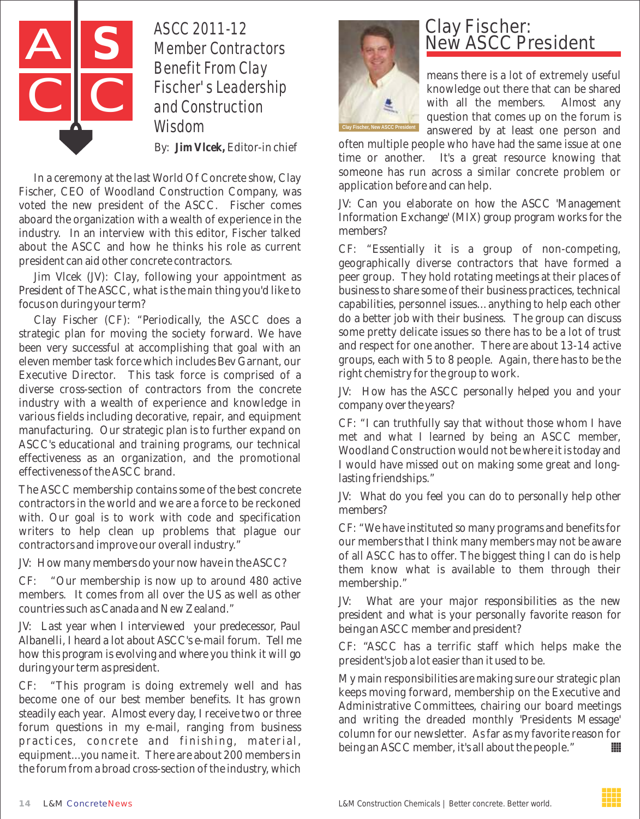

ASCC 2011-12 Member Contractors Benefit From Clay Fischer's Leadership and Construction Wisdom

By: **Jim Vlcek,** Editor-in chief

In a ceremony at the last World Of Concrete show, Clay Fischer, CEO of Woodland Construction Company, was voted the new president of the ASCC. Fischer comes aboard the organization with a wealth of experience in the industry. In an interview with this editor, Fischer talked about the ASCC and how he thinks his role as current president can aid other concrete contractors.

*Jim Vlcek (JV): Clay, following your appointment as President of The ASCC, what is the main thing you'd like to focus on during your term?* 

Clay Fischer (CF): "Periodically, the ASCC does a strategic plan for moving the society forward. We have been very successful at accomplishing that goal with an eleven member task force which includes Bev Garnant, our Executive Director. This task force is comprised of a diverse cross-section of contractors from the concrete industry with a wealth of experience and knowledge in various fields including decorative, repair, and equipment manufacturing. Our strategic plan is to further expand on ASCC's educational and training programs, our technical effectiveness as an organization, and the promotional effectiveness of the ASCC brand.

The ASCC membership contains some of the best concrete contractors in the world and we are a force to be reckoned with. Our goal is to work with code and specification writers to help clean up problems that plague our contractors and improve our overall industry."

#### *JV: How many members do your now have in the ASCC?*

CF: "Our membership is now up to around 480 active members. It comes from all over the US as well as other countries such as Canada and New Zealand."

*JV: Last year when I interviewed your predecessor, Paul Albanelli, I heard a lot about ASCC's e-mail forum. Tell me how this program is evolving and where you think it will go during your term as president.*

CF: "This program is doing extremely well and has become one of our best member benefits. It has grown steadily each year. Almost every day, I receive two or three forum questions in my e-mail, ranging from business practices, concrete and finishing, material, equipment...you name it. There are about 200 members in the forum from a broad cross-section of the industry, which



#### Clay Fischer: **New ASCC President**

means there is a lot of extremely useful knowledge out there that can be shared with all the members. Almost any question that comes up on the forum is answered by at least one person and

often multiple people who have had the same issue at one time or another. It's a great resource knowing that someone has run across a similar concrete problem or application before and can help.

*JV: Can you elaborate on how the ASCC 'Management Information Exchange' (MIX) group program works for the members?*

CF: "Essentially it is a group of non-competing, geographically diverse contractors that have formed a peer group. They hold rotating meetings at their places of business to share some of their business practices, technical capabilities, personnel issues…anything to help each other do a better job with their business. The group can discuss some pretty delicate issues so there has to be a lot of trust and respect for one another. There are about 13-14 active groups, each with 5 to 8 people. Again, there has to be the right chemistry for the group to work.

*JV: How has the ASCC personally helped you and your company over the years?*

CF: "I can truthfully say that without those whom I have met and what I learned by being an ASCC member, Woodland Construction would not be where it is today and I would have missed out on making some great and longlasting friendships."

*JV: What do you feel you can do to personally help other members?*

CF: "We have instituted so many programs and benefits for our members that I think many members may not be aware of all ASCC has to offer. The biggest thing I can do is help them know what is available to them through their membership."

*JV: What are your major responsibilities as the new president and what is your personally favorite reason for being an ASCC member and president?*

CF: "ASCC has a terrific staff which helps make the president's job a lot easier than it used to be.

My main responsibilities are making sure our strategic plan keeps moving forward, membership on the Executive and Administrative Committees, chairing our board meetings and writing the dreaded monthly 'Presidents Message' column for our newsletter. As far as my favorite reason for being an ASCC member, it's all about the people." ₩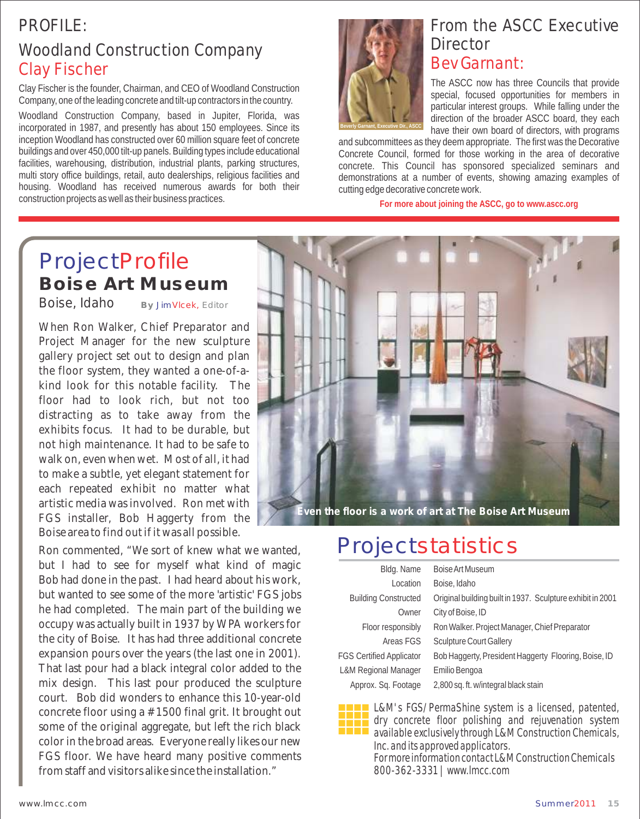## PROFILE:

## Woodland Construction Company Clay Fischer

Clay Fischer is the founder, Chairman, and CEO of Woodland Construction Company, one of the leading concrete and tilt-up contractors in the country.

Woodland Construction Company, based in Jupiter, Florida, was incorporated in 1987, and presently has about 150 employees. Since its inception Woodland has constructed over 60 million square feet of concrete buildings and over 450,000 tilt-up panels. Building types include educational facilities, warehousing, distribution, industrial plants, parking structures, multi story office buildings, retail, auto dealerships, religious facilities and housing. Woodland has received numerous awards for both their construction projects as well as their business practices.



## From the ASCC Executive **Director** Bev Garnant:

The ASCC now has three Councils that provide special, focused opportunities for members in particular interest groups. While falling under the direction of the broader ASCC board, they each have their own board of directors, with programs

and subcommittees as they deem appropriate. The first was the Decorative Concrete Council, formed for those working in the area of decorative concrete. This Council has sponsored specialized seminars and demonstrations at a number of events, showing amazing examples of cutting edge decorative concrete work.

**For more about joining the ASCC, go to www.ascc.org**

## ProjectProfile **Boise Art Museum**

Boise, Idaho

**By** JimVlcek, Editor

When Ron Walker, Chief Preparator and Project Manager for the new sculpture gallery project set out to design and plan the floor system, they wanted a one-of-akind look for this notable facility. The floor had to look rich, but not too distracting as to take away from the exhibits focus. It had to be durable, but not high maintenance. It had to be safe to walk on, even when wet. Most of all, it had to make a subtle, yet elegant statement for each repeated exhibit no matter what artistic media was involved. Ron met with FGS installer, Bob Haggerty from the Boise area to find out if it was all possible.

Ron commented, "We sort of knew what we wanted, but I had to see for myself what kind of magic Bob had done in the past. I had heard about his work, but wanted to see some of the more 'artistic' FGS jobs he had completed. The main part of the building we occupy was actually built in 1937 by WPA workers for the city of Boise. It has had three additional concrete expansion pours over the years (the last one in 2001). That last pour had a black integral color added to the mix design. This last pour produced the sculpture court. Bob did wonders to enhance this 10-year-old concrete floor using a #1500 final grit. It brought out some of the original aggregate, but left the rich black color in the broad areas. Everyone really likes our new FGS floor. We have heard many positive comments from staff and visitors alike since the installation."



## **Projectstatistics**

| Bldg. Name                      | Boise Art Museum                                           |
|---------------------------------|------------------------------------------------------------|
| Location                        | Boise, Idaho                                               |
| <b>Building Constructed</b>     | Original building built in 1937. Sculpture exhibit in 2001 |
| Owner                           | City of Boise, ID                                          |
| Floor responsibly               | Ron Walker. Project Manager, Chief Preparator              |
| Areas FGS                       | <b>Sculpture Court Gallery</b>                             |
| <b>FGS Certified Applicator</b> | Bob Haggerty, President Haggerty Flooring, Boise, ID       |
| L&M Regional Manager            | Emilio Bengoa                                              |
| Approx. Sq. Footage             | 2,800 sq. ft. w/integral black stain                       |
|                                 |                                                            |



**LAM's FGS/PermaShine system is a licensed, patented,** dry concrete floor polishing and rejuvenation system available exclusively through L&M Construction Chemicals, Inc. and its approved applicators.

For more information contact L&M Construction Chemicals 800-362-3331 | www.lmcc.com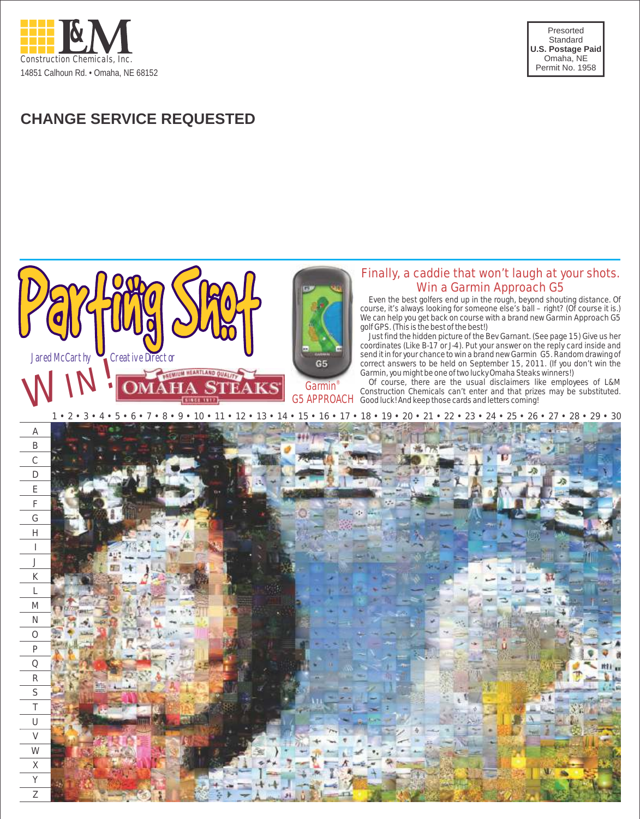

Presorted Standard **U.S. Postage Paid** Omaha, NE Permit No. 1958

## **CHANGE SERVICE REQUESTED**

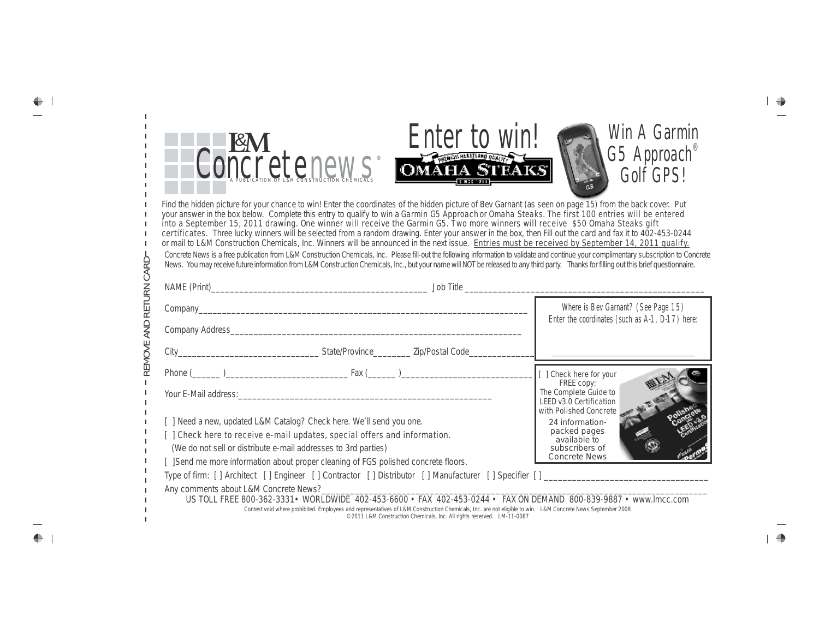| $\mathsf{I}$<br>REMOVE AND RETURN CARD | Enter to win!<br><b>ETTICI W WITH STRAKES</b><br>Find the hidden picture for your chance to win! Enter the coordinates of the hidden picture of Bev Garnant (as seen on page 15) from the back cover. Put<br>your answer in the box below. Complete this entry to qualify to win a Garmin G5 Approach or Omaha Steaks. The first 100 entries will be entered<br>into a September 15, 2011 drawing. One winner will receive the Garmin G5. Two more winners will receive \$50 Omaha Steaks gift<br>certificates. Three lucky winners will be selected from a random drawing. Enter your answer in the box, then Fill out the card and fax it to 402-453-0244<br>or mail to L&M Construction Chemicals, Inc. Winners will be announced in the next issue. Entries must be received by September 14, 2011 qualify.<br>Concrete News is a free publication from L&M Construction Chemicals, Inc. Please fill-out the following information to validate and continue your complimentary subscription to Concrete<br>News. You may receive future information from L&M Construction Chemicals, Inc., but your name will NOT be released to any third party. Thanks for filling out this brief questionnaire. | Win A Garmin<br>$G5$ Approach<br>Golf GPS!                                                                                             |
|----------------------------------------|--------------------------------------------------------------------------------------------------------------------------------------------------------------------------------------------------------------------------------------------------------------------------------------------------------------------------------------------------------------------------------------------------------------------------------------------------------------------------------------------------------------------------------------------------------------------------------------------------------------------------------------------------------------------------------------------------------------------------------------------------------------------------------------------------------------------------------------------------------------------------------------------------------------------------------------------------------------------------------------------------------------------------------------------------------------------------------------------------------------------------------------------------------------------------------------------------------|----------------------------------------------------------------------------------------------------------------------------------------|
|                                        |                                                                                                                                                                                                                                                                                                                                                                                                                                                                                                                                                                                                                                                                                                                                                                                                                                                                                                                                                                                                                                                                                                                                                                                                        | Where is Bev Garnant? (See Page 15)                                                                                                    |
|                                        |                                                                                                                                                                                                                                                                                                                                                                                                                                                                                                                                                                                                                                                                                                                                                                                                                                                                                                                                                                                                                                                                                                                                                                                                        | Enter the coordinates (such as A-1, D-17) here:                                                                                        |
|                                        |                                                                                                                                                                                                                                                                                                                                                                                                                                                                                                                                                                                                                                                                                                                                                                                                                                                                                                                                                                                                                                                                                                                                                                                                        |                                                                                                                                        |
|                                        |                                                                                                                                                                                                                                                                                                                                                                                                                                                                                                                                                                                                                                                                                                                                                                                                                                                                                                                                                                                                                                                                                                                                                                                                        |                                                                                                                                        |
|                                        | [ ] Need a new, updated L&M Catalog? Check here. We'll send you one.                                                                                                                                                                                                                                                                                                                                                                                                                                                                                                                                                                                                                                                                                                                                                                                                                                                                                                                                                                                                                                                                                                                                   | [ ] Check here for your<br>FREE copy:<br>The Complete Guide to<br>LEED v3.0 Certification<br>with Polished Concrete<br>24 information- |
|                                        | [ ] Check here to receive e-mail updates, special offers and information.<br>(We do not sell or distribute e-mail addresses to 3rd parties)                                                                                                                                                                                                                                                                                                                                                                                                                                                                                                                                                                                                                                                                                                                                                                                                                                                                                                                                                                                                                                                            | packed pages<br>available to<br>subscribers of<br><b>Concrete News</b>                                                                 |
|                                        | [ ]Send me more information about proper cleaning of FGS polished concrete floors.                                                                                                                                                                                                                                                                                                                                                                                                                                                                                                                                                                                                                                                                                                                                                                                                                                                                                                                                                                                                                                                                                                                     |                                                                                                                                        |
|                                        | Any comments about L&M Concrete News?_                                                                                                                                                                                                                                                                                                                                                                                                                                                                                                                                                                                                                                                                                                                                                                                                                                                                                                                                                                                                                                                                                                                                                                 |                                                                                                                                        |
|                                        | US TOLL FREE 800-362-3331 · WORLDWIDE 402-453-6600 · FAX 402-453-0244 · FAX ON DEMAND 800-839-9887 · www.lmcc.com<br>Contest void where prohibited. Employees and representatives of L&M Construction Chemicals, Inc. are not eligible to win. L&M Concrete News September 2008<br>©2011 L&M Construction Chemicals, Inc. All rights reserved. LM-11-0087                                                                                                                                                                                                                                                                                                                                                                                                                                                                                                                                                                                                                                                                                                                                                                                                                                              |                                                                                                                                        |

 $\overset{\bigoplus}{=}\overset{+}{-}$ 

 $\frac{-}{\Phi}$  :

 $\frac{1}{\alpha}$